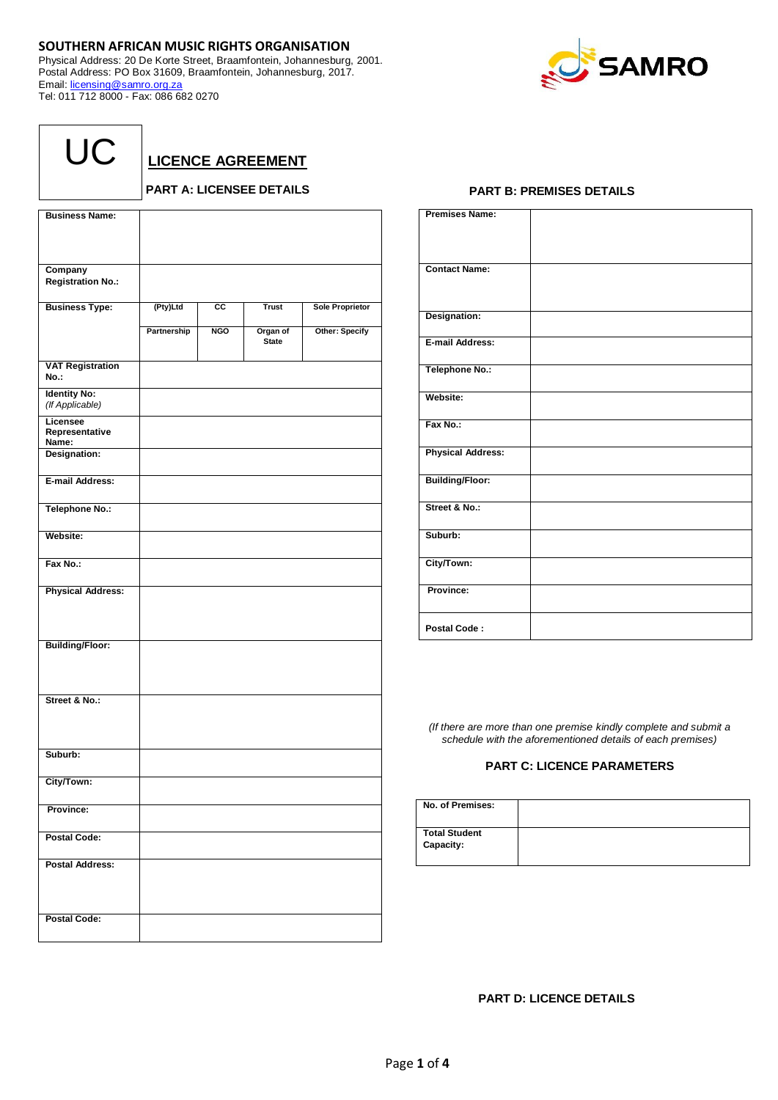## **SOUTHERN AFRICAN MUSIC RIGHTS ORGANISATION**

Physical Address: 20 De Korte Street, Braamfontein, Johannesburg, 2001. Postal Address: PO Box 31609, Braamfontein, Johannesburg, 2017. Email: [licensing@samro.org.za](mailto:licensing@samro.org.za) Tel: 011 712 8000 - Fax: 086 682 0270



| UC |  |
|----|--|
|----|--|

**LICENCE AGREEMENT**

## **PART A: LICENSEE DETAILS**

| <b>Business Name:</b>                  |             |            |                          |                        |
|----------------------------------------|-------------|------------|--------------------------|------------------------|
|                                        |             |            |                          |                        |
|                                        |             |            |                          |                        |
| Company                                |             |            |                          |                        |
| <b>Registration No.:</b>               |             |            |                          |                        |
| <b>Business Type:</b>                  | (Pty)Ltd    | СC         | <b>Trust</b>             | <b>Sole Proprietor</b> |
|                                        | Partnership | <b>NGO</b> | Organ of<br><b>State</b> | Other: Specify         |
| <b>VAT Registration</b><br>No.:        |             |            |                          |                        |
| <b>Identity No:</b><br>(If Applicable) |             |            |                          |                        |
| Licensee<br>Representative<br>Name:    |             |            |                          |                        |
| Designation:                           |             |            |                          |                        |
| E-mail Address:                        |             |            |                          |                        |
| Telephone No.:                         |             |            |                          |                        |
| Website:                               |             |            |                          |                        |
| Fax No.:                               |             |            |                          |                        |
| <b>Physical Address:</b>               |             |            |                          |                        |
| <b>Building/Floor:</b>                 |             |            |                          |                        |
| Street & No.:                          |             |            |                          |                        |
| Suburb:                                |             |            |                          |                        |
| City/Town:                             |             |            |                          |                        |
| Province:                              |             |            |                          |                        |
| <b>Postal Code:</b>                    |             |            |                          |                        |
| <b>Postal Address:</b>                 |             |            |                          |                        |
| <b>Postal Code:</b>                    |             |            |                          |                        |

## **PART B: PREMISES DETAILS**

| <b>Premises Name:</b>    |  |
|--------------------------|--|
| <b>Contact Name:</b>     |  |
| Designation:             |  |
| E-mail Address:          |  |
| Telephone No.:           |  |
| Website:                 |  |
| Fax No.:                 |  |
| <b>Physical Address:</b> |  |
| <b>Building/Floor:</b>   |  |
| Street & No.:            |  |
| Suburb:                  |  |
| City/Town:               |  |
| Province:                |  |
| Postal Code:             |  |

*(If there are more than one premise kindly complete and submit a schedule with the aforementioned details of each premises)*

## **PART C: LICENCE PARAMETERS**

| No. of Premises:                  |  |
|-----------------------------------|--|
| <b>Total Student</b><br>Capacity: |  |

**PART D: LICENCE DETAILS**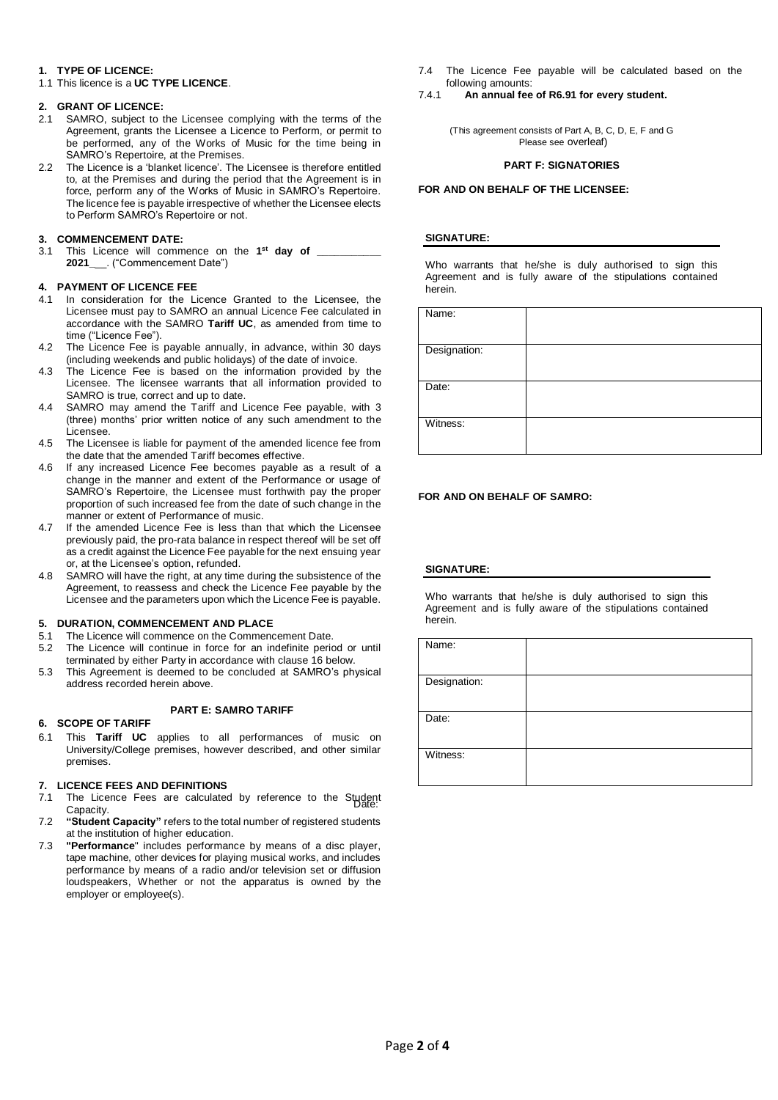## **1. TYPE OF LICENCE:**

1.1 This licence is a **UC TYPE LICENCE**.

## **2. GRANT OF LICENCE:**

- 2.1 SAMRO, subject to the Licensee complying with the terms of the Agreement, grants the Licensee a Licence to Perform, or permit to be performed, any of the Works of Music for the time being in SAMRO's Repertoire, at the Premises.
- 2.2 The Licence is a 'blanket licence'. The Licensee is therefore entitled to, at the Premises and during the period that the Agreement is in force, perform any of the Works of Music in SAMRO's Repertoire. The licence fee is payable irrespective of whether the Licensee elects to Perform SAMRO's Repertoire or not.

## **3. COMMENCEMENT DATE:**

3.1 This Licence will commence on the **1 st day of \_\_\_\_\_\_\_\_\_\_\_ 2021\_**\_\_. ("Commencement Date")

## **4. PAYMENT OF LICENCE FEE**

- 4.1 In consideration for the Licence Granted to the Licensee, the Licensee must pay to SAMRO an annual Licence Fee calculated in accordance with the SAMRO **Tariff UC**, as amended from time to time ("Licence Fee").
- 4.2 The Licence Fee is payable annually, in advance, within 30 days (including weekends and public holidays) of the date of invoice.
- 4.3 The Licence Fee is based on the information provided by the Licensee. The licensee warrants that all information provided to SAMRO is true, correct and up to date.
- 4.4 SAMRO may amend the Tariff and Licence Fee payable, with 3 (three) months' prior written notice of any such amendment to the Licensee.
- 4.5 The Licensee is liable for payment of the amended licence fee from the date that the amended Tariff becomes effective.
- 4.6 If any increased Licence Fee becomes payable as a result of a change in the manner and extent of the Performance or usage of SAMRO's Repertoire, the Licensee must forthwith pay the proper proportion of such increased fee from the date of such change in the manner or extent of Performance of music.
- 4.7 If the amended Licence Fee is less than that which the Licensee previously paid, the pro-rata balance in respect thereof will be set off as a credit against the Licence Fee payable for the next ensuing year or, at the Licensee's option, refunded.
- 4.8 SAMRO will have the right, at any time during the subsistence of the Agreement, to reassess and check the Licence Fee payable by the Licensee and the parameters upon which the Licence Fee is payable.

## **5. DURATION, COMMENCEMENT AND PLACE**

- 5.1 The Licence will commence on the Commencement Date.
- 5.2 The Licence will continue in force for an indefinite period or until terminated by either Party in accordance with clause 16 below.
- 5.3 This Agreement is deemed to be concluded at SAMRO's physical address recorded herein above.

## **PART E: SAMRO TARIFF**

## **6. SCOPE OF TARIFF**

6.1 This **Tariff UC** applies to all performances of music on University/College premises, however described, and other similar premises.

## **7. LICENCE FEES AND DEFINITIONS**

- 7.1 The Licence Fees are calculated by reference to the Student<br>Conseity Capacity.
- 7.2 **"Student Capacity"** refers to the total number of registered students at the institution of higher education.
- 7.3 **"Performance**" includes performance by means of a disc player, tape machine, other devices for playing musical works, and includes performance by means of a radio and/or television set or diffusion loudspeakers, Whether or not the apparatus is owned by the employer or employee(s).

7.4 The Licence Fee payable will be calculated based on the following amounts:

7.4.1 **An annual fee of R6.91 for every student.** 

(This agreement consists of Part A, B, C, D, E, F and G Please see overleaf)

### **PART F: SIGNATORIES**

## **FOR AND ON BEHALF OF THE LICENSEE:**

## **SIGNATURE:**

Who warrants that he/she is duly authorised to sign this Agreement and is fully aware of the stipulations contained herein.

| Name:        |  |
|--------------|--|
| Designation: |  |
| Date:        |  |
| Witness:     |  |

## **FOR AND ON BEHALF OF SAMRO:**

## **SIGNATURE:**

Who warrants that he/she is duly authorised to sign this Agreement and is fully aware of the stipulations contained herein.

| Name:        |  |
|--------------|--|
| Designation: |  |
| Date:        |  |
| Witness:     |  |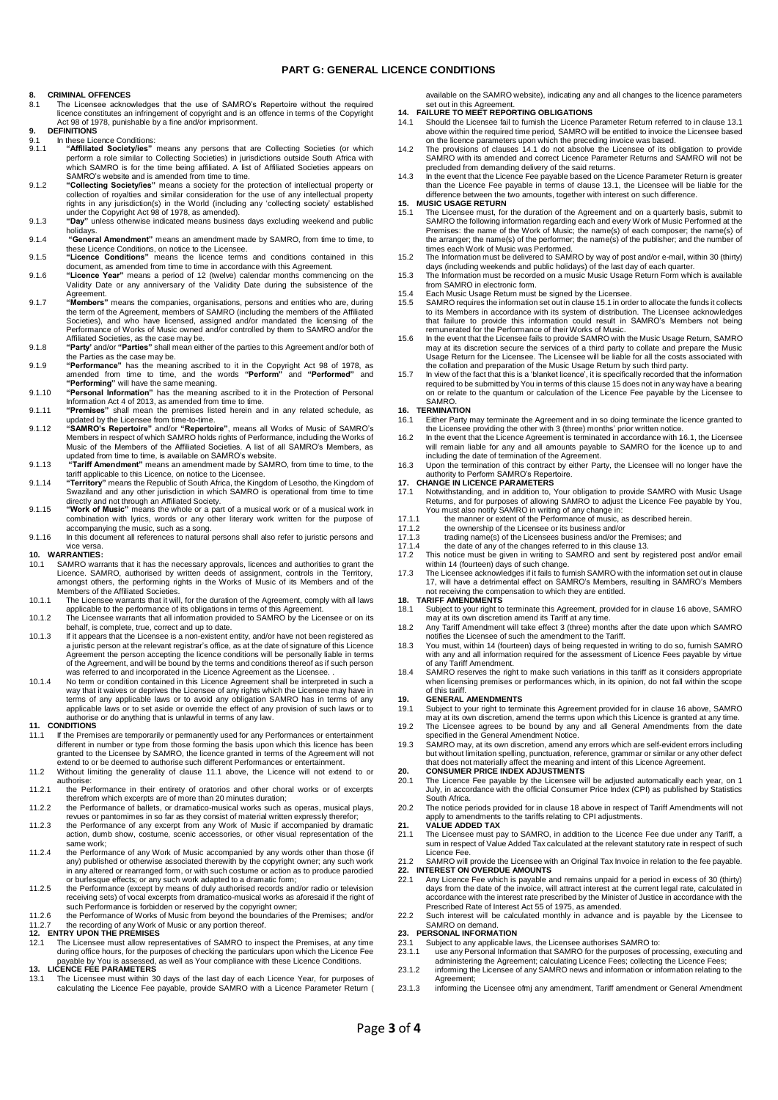### **PART G: GENERAL LICENCE CONDITIONS**

### **8. CRIMINAL OFFENCES**

- 8.1 The Licensee acknowledges that the use of SAMRO's Repertoire without the required licence constitutes an infringement of copyright and is an offence in terms of the Copyright Act 98 of 1978, punishable by a fine and/or imprisonment.
- **9. DEFINITIONS**
- 9.1 In these Licence Conditions:<br>9.1. **Affiliated Society/jes**" 9.1.1 "Affiliated Society/ies" means any persons that are Collecting Societies (or which perform a role similar to Collecting Societies) in jurisdictions outside South Africa with which SAMRO is for the time being affiliat
- 9.1.2 **"Collecting Society/ies"** means a society for the protection of intellectual property or collection of royalties and similar consideration for the use of any intellectual property rights in any jurisdiction(s) in the World (including any 'collecting society' established under the Copyright Act 98 of 1978, as amended).
- 9.1.3 **"Day"** unless otherwise indicated means business days excluding weekend and public
- holidays. 9.1.4 **"General Amendment"** means an amendment made by SAMRO, from time to time, to these Licence Conditions, on notice to the Licensee. 9.1.5 **"Licence Conditions"** means the licence terms and conditions contained in this
- 
- document, as amended from time to time in accordance with this Agreement. 9.1.6 **"Licence Year"** means a period of 12 (twelve) calendar months commencing on the Validity Date or any anniversary of the Validity Date during the subsistence of the
- Agreement.<br>9.1.7 **"Members**" means the companies, organisations, persons and entities who are, during<br>the term of the Agreement, members of SAMRO (including the members of the Affiliated Societies), and who have licensed, assigned and/or mandated the licensing of the Performance of Works of Music owned and/or controlled by them to SAMRO and/or the Affiliated Societies, as the case may be.
- 9.1.8 **"Party'** and/or **"Parties"** shall mean either of the parties to this Agreement and/or both of the Parties as the case may be.
- 9.1.9 **"Performance"** has the meaning ascribed to it in the Copyright Act 98 of 1978, as amended from time to time, and the words **"Perform"** and **"Performed"** and **"Performing"** will have the same meaning.
- 9.1.10 **"Personal Information"** has the meaning ascribed to it in the Protection of Personal Information Act 4 of 2013, as amended from time to time. 9.1.11 **"Premises"** shall mean the premises listed herein and in any related schedule, as
- 
- updated by the Licensee from time-to-time.<br>9.1.12 "SAMRO's Repertoire" and/or "Repertoire", means all Works of Music of SAMRO's<br>Members in respect of which SAMRO holds rights of Performance, including the Works of<br>Music of
- 9.1.13 **"Tariff Amendment"** means an amendment made by SAMRO, from time to time, to the tariff applicable to this Licence, on notice to the Licensee.
- 9.1.14 **"Territory"** means the Republic of South Africa, the Kingdom of Lesotho, the Kingdom of Swaziland and any other jurisdiction in which SAMRO is operational from time to time directly and not through an Affiliated Society. 9.1.15 **"Work of Music"** means the whole or a part of a musical work or of a musical work in
- combination with lyrics, words or any other literary work written for the purpose of accompanying the music, such as a song. 9.1.16 In this document all references to natural persons shall also refer to juristic persons and
- 

## vice versa. **10. WARRANTIES:**

- 10.1 SAMRO warrants that it has the necessary approvals, licences and authorities to grant the Licence. SAMRO, authorised by written deeds of assignment, controls in the Territory, amongst others, the performing rights in
- 10.1.1 The Licensee warrants that it will, for the duration of the Agreement, comply with all laws applicable to the performance of its obligations in terms of this Agreement.
- 10.1.2 The Licensee warrants that all information provided to SAMRO by the Licensee or on its behalf, is complete, true, correct and up to date.
- 10.1.3 If it appears that the Licensee is a non-existent entity, and/or have not been registered as a juristic person at the relevant registrar's office, as at the date of signature of this Licence Agreement the person accepting the licence conditions will be personally liable in terms<br>of the Agreement, and will be bound by the terms and conditions thereof as if such person<br>was referred to and incorporated in the Lic
- 10.1.4 No term or condition contained in this Licence Agreement shall be interpreted in such a way that it waives or deprives the Licensee of any rights which the Licensee may have in<br>terms of any applicable laws or to avoid any obligation SAMRO has in terms of any<br>applicable laws or to set aside or override the eff authorise or do anything that is unlawful in terms of any law. **11. CONDITIONS**

- 11.1 If the Premises are temporarily or permanently used for any Performances or entertainment different in number or type from those forming the basis upon which this licence has been granted to the Licensee by SAMRO, the licence granted in terms of the Agreement will not extend to or be deemed to authorise such different Performances or entertainment.
- 11.2 Without limiting the generality of clause 11.1 above, the Licence will not extend to or authorise:
- 11.2.1 the Performance in their entirety of oratorios and other choral works or of excerpts
- therefrom which excerpts are of more than 20 minutes duration; 11.2.2 the Performance of ballets, or dramatico-musical works such as operas, musical plays,
- revues or pantomimes in so far as they consist of material written expressly therefor; 11.2.3 the Performance of any excerpt from any Work of Music if accompanied by dramatic action, dumb show, costume, scenic accessories, or other visual representation of the same work;
- 11.2.4 the Performance of any Work of Music accompanied by any words other than those (if any) published or otherwise associated therewith by the copyright owner; any such work in any altered or rearranged form, or with such costume or action as to produce parodied or burlesque effects; or any such work adapted to a dramatic form;
- 11.2.5 the Performance (except by means of duly authorised records and/or radio or television receiving sets) of vocal excerpts from dramatico-musical works as aforesaid if the right of
- such Performance is forbidden or reserved by the copyright owner;<br>11.2.6 the Performance of Works of Music from beyond the boundaries of the Premises; and/or<br>11.2.7 the recording of any Work of Music or any portion thereof

- during office hours, for the purposes of checking the particulars upon which the Licence Fee payable by You is assessed, as well as Your compliance with these Licence Conditions. **13. LICENCE FEE PARAMETERS**
- 13.1 The Licensee must within 30 days of the last day of each Licence Year, for purposes of calculating the Licence Fee payable, provide SAMRO with a Licence Parameter Return (

available on the SAMRO website), indicating any and all changes to the licence parameters set out in this Agreement. **14. FAILURE TO MEET REPORTING OBLIGATIONS**

- 
- 14.1 Should the Licensee fail to furnish the Licence Parameter Return referred to in clause 13.1 above within the required time period, SAMRO will be entitled to invoice the Licensee based on the licence parameters upon which the preceding invoice was based.
- 14.2 The provisions of clauses 14.1 do not absolve the Licensee of its obligation to provide SAMRO with its amended and correct Licence Parameter Returns and SAMRO will not be
- precluded from demanding delivery of the said returns. 14.3 In the event that the Licence Fee payable based on the Licence Parameter Return is greater than the Licence Fee payable in terms of clause 13.1, the Licensee will be liable for the difference between the two amounts, together with interest on such difference. **15. MUSIC USAGE RETURN**

- 15.1 The Licensee must, for the duration of the Agreement and on a quarterly basis, submit to SAMRO the following information regarding each and every Work of Music Performed at the Premises: the name of the Work of Music; the name(s) of each composer; the name(s) of the arranger; the name(s) of the performer; the name(s) of the publisher; and the number of times each Work of Music was Performed. 15.2 The Information must be delivered to SAMRO by way of post and/or e-mail, within 30 (thirty)
- days (including weekends and public holidays) of the last day of each quarter. 15.3 The Information must be recorded on a music Music Usage Return Form which is available
- 
- from SAMRO in electronic form. 15.4 Each Music Usage Return must be signed by the Licensee.
- 15.5 SAMRO requires the information set out in clause 15.1 in order to allocate the funds it collects to its Members in accordance with its system of distribution. The Licensee acknowledges that failure to provide this information could result in SAMRO's Members not being remunerated for the Performance of their Works of Music.
- 15.6 In the event that the Licensee fails to provide SAMRO with the Music Usage Return, SAMRO may at its discretion secure the services of a third party to collate and prepare the Music Usage Return for the Licensee. The Licensee will be liable for all the costs associated with the collation and preparation of the Music Usage Return by such third party.
- 15.7 In view of the fact that this is a 'blanket licence', it is specifically recorded that the information required to be submitted by You in terms of this clause 15 does not in any way have a bearing on or relate to the quantum or calculation of the Licence Fee payable by the Licensee to SAMRO.

- **16. TERMINATION**<br>**16.1** Either Party r 16.1 Either Party may terminate the Agreement and in so doing terminate the licence granted to the Licensee providing the other with 3 (three) months' prior written notice.
- 16.2 In the event that the Licence Agreement is terminated in accordance with 16.1, the Licensee will remain liable for any and all amounts payable to SAMRO for the licence up to and including the date of termination of the Agreement.
- 16.3 Upon the termination of this contract by either Party, the Licensee will no longer have the authority to Perform SAMRO's Repertoire.

## **17. CHANGE IN LICENCE PARAMETERS**<br>17.1 Notwithstanding and in addition to

- 17.1 Notwithstanding, and in addition to, Your obligation to provide SAMRO with Music Usage Returns, and for purposes of allowing SAMRO to adjust the Licence Fee payable by You, You must also notify SAMRO in writing of any change in:
- 
- 17.1.1 the manner or extent of the Performance of music, as described herein. 17.1.2 the ownership of the Licensee or its business and/or
- 
- 17.1.3 trading name(s) of the Licensees business and/or the Premises; and 17.1.4 the date of any of the changes referred to in this clause 13.
- This notice must be given in writing to SAMRO and sent by registered post and/or email<br>writhin 14 (fourteen) days of such change.<br>The Licensee acknowledges if it fails to furnish SAMRO with the information set out in claus
- 17, will have a detrimental effect on SAMRO's Members, resulting in SAMRO's Members not receiving the compensation to which they are entitled.

### **18. TARIFF AMENDMENTS**

- 18.1 Subject to your right to terminate this Agreement, provided for in clause 16 above, SAMRO may at its own discretion amend its Tariff at any time. 18.2 Any Tariff Amendment will take effect 3 (three) months after the date upon which SAMRO
- notifies the Licensee of such the amendment to the Tariff.
- 18.3 You must, within 14 (fourteen) days of being requested in writing to do so, furnish SAMRO with any and all information required for the assessment of Licence Fees payable by virtue
- of any Tariff Amendment. 18.4 SAMRO reserves the right to make such variations in this tariff as it considers appropriate when licensing premises or performances which, in its opinion, do not fall within the scope of this tariff.

- **19. GENERAL AMENDMENTS**<br>19.1 Subject to your right to term 19.1 Subject to your right to terminate this Agreement provided for in clause 16 above, SAMRO
- may at its own discretion, amend the terms upon which this Licence is granted at any time. 19.2 The Licensee agrees to be bound by any and all General Amendments from the date specified in the General Amendment Notice.
- 19.3 SAMRO may, at its own discretion, amend any errors which are self-evident errors including but without limitation spelling, punctuation, reference, grammar or similar or any other defect<br>that does not materially affect the meaning and intent of this Licence Agreement.<br>20. CONSUMER PRICE INDEX ADJUSTMENTS

- 20.1 The Licence Fee payable by the Licensee will be adjusted automatically each year, on 1 July, in accordance with the official Consumer Price Index (CPI) as published by Statistics South Africa.
- 20.2 The notice periods provided for in clause 18 above in respect of Tariff Amendments will not apply to amendments to the tariffs relating to CPI adjustments. **21. VALUE ADDED TAX**

# 21.1 The Licensee must pay to SAMRO, in addition to the Licence Fee due under any Tariff, a sum in respect of Value Added Tax calculated at the relevant statutory rate in respect of such

- Licence Fee. 21.2 SAMRO will provide the Licensee with an Original Tax Invoice in relation to the fee payable. **22. INTEREST ON OVERDUE AMOUNTS**
- 22.1 Any Licence Fee which is payable and remains unpaid for a period in excess of 30 (thirty) days from the date of the invoice, will attract interest at the current legal rate, calculated in accordance with the interest rate prescribed by the Minister of Justice in accordance with the accordance with the interest rate prescribed by the Minister of Justice in accordance with the
- Prescribed Rate of Interest Act 55 of 1975, as amended. 22.2 Such interest will be calculated monthly in advance and is payable by the Licensee to SAMRO on demand.

## **23. PERSONAL INFORMATION**

- 23.1 Subject to any applicable laws, the Licensee authorises SAMRO to:<br>23.1 Subject to any applicable laws, the Licensee authorises SAMRO to:
- 23.1.1 use any Personal Information that SAMRO for the purposes of processing, executing and<br>administering the Agreement; calculating Licence Fees; collecting the Licence Fees;<br>23.1.2 informing the Licensee of any SAMRO ne Agreement;
- 23.1.3 informing the Licensee ofmj any amendment, Tariff amendment or General Amendment